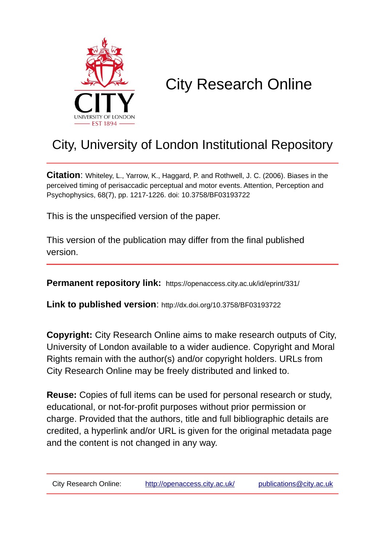

## City Research Online

### City, University of London Institutional Repository

**Citation**: Whiteley, L., Yarrow, K., Haggard, P. and Rothwell, J. C. (2006). Biases in the perceived timing of perisaccadic perceptual and motor events. Attention, Perception and Psychophysics, 68(7), pp. 1217-1226. doi: 10.3758/BF03193722

This is the unspecified version of the paper.

This version of the publication may differ from the final published version.

**Permanent repository link:** https://openaccess.city.ac.uk/id/eprint/331/

**Link to published version**: http://dx.doi.org/10.3758/BF03193722

**Copyright:** City Research Online aims to make research outputs of City, University of London available to a wider audience. Copyright and Moral Rights remain with the author(s) and/or copyright holders. URLs from City Research Online may be freely distributed and linked to.

**Reuse:** Copies of full items can be used for personal research or study, educational, or not-for-profit purposes without prior permission or charge. Provided that the authors, title and full bibliographic details are credited, a hyperlink and/or URL is given for the original metadata page and the content is not changed in any way.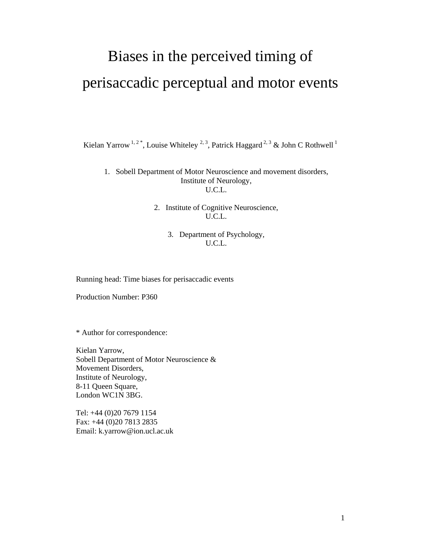# Biases in the perceived timing of perisaccadic perceptual and motor events

Kielan Yarrow <sup>1, 2\*</sup>, Louise Whiteley <sup>2, 3</sup>, Patrick Haggard <sup>2, 3</sup> & John C Rothwell <sup>1</sup>

1. Sobell Department of Motor Neuroscience and movement disorders, Institute of Neurology, U.C.L.

> 2. Institute of Cognitive Neuroscience, U.C.L.

> > 3. Department of Psychology, U.C.L.

Running head: Time biases for perisaccadic events

Production Number: P360

\* Author for correspondence:

Kielan Yarrow, Sobell Department of Motor Neuroscience & Movement Disorders, Institute of Neurology, 8-11 Queen Square, London WC1N 3BG.

Tel: +44 (0)20 7679 1154 Fax: +44 (0)20 7813 2835 Email: k.yarrow@ion.ucl.ac.uk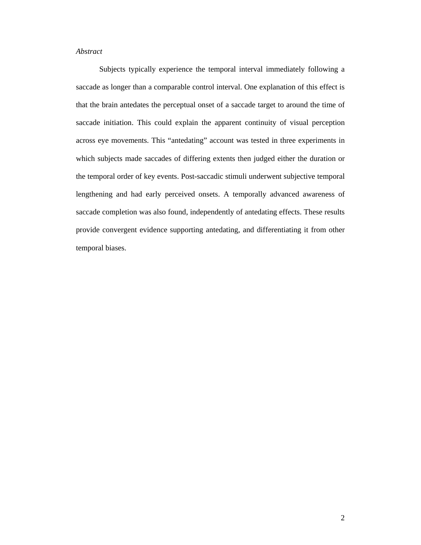### *Abstract*

Subjects typically experience the temporal interval immediately following a saccade as longer than a comparable control interval. One explanation of this effect is that the brain antedates the perceptual onset of a saccade target to around the time of saccade initiation. This could explain the apparent continuity of visual perception across eye movements. This "antedating" account was tested in three experiments in which subjects made saccades of differing extents then judged either the duration or the temporal order of key events. Post-saccadic stimuli underwent subjective temporal lengthening and had early perceived onsets. A temporally advanced awareness of saccade completion was also found, independently of antedating effects. These results provide convergent evidence supporting antedating, and differentiating it from other temporal biases.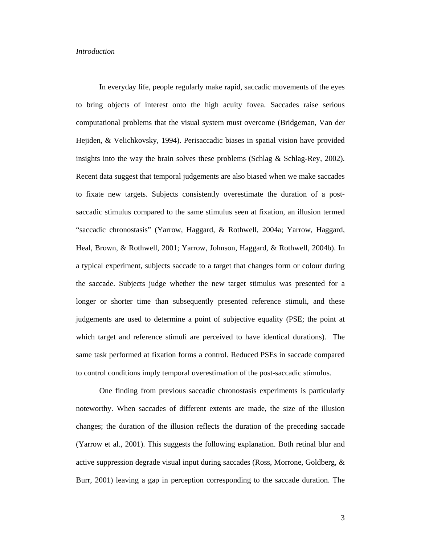#### *Introduction*

In everyday life, people regularly make rapid, saccadic movements of the eyes to bring objects of interest onto the high acuity fovea. Saccades raise serious computational problems that the visual system must overcome (Bridgeman, Van der Hejiden, & Velichkovsky, 1994). Perisaccadic biases in spatial vision have provided insights into the way the brain solves these problems (Schlag & Schlag-Rey, 2002). Recent data suggest that temporal judgements are also biased when we make saccades to fixate new targets. Subjects consistently overestimate the duration of a postsaccadic stimulus compared to the same stimulus seen at fixation, an illusion termed "saccadic chronostasis" (Yarrow, Haggard, & Rothwell, 2004a; Yarrow, Haggard, Heal, Brown, & Rothwell, 2001; Yarrow, Johnson, Haggard, & Rothwell, 2004b). In a typical experiment, subjects saccade to a target that changes form or colour during the saccade. Subjects judge whether the new target stimulus was presented for a longer or shorter time than subsequently presented reference stimuli, and these judgements are used to determine a point of subjective equality (PSE; the point at which target and reference stimuli are perceived to have identical durations). The same task performed at fixation forms a control. Reduced PSEs in saccade compared to control conditions imply temporal overestimation of the post-saccadic stimulus.

One finding from previous saccadic chronostasis experiments is particularly noteworthy. When saccades of different extents are made, the size of the illusion changes; the duration of the illusion reflects the duration of the preceding saccade (Yarrow et al., 2001). This suggests the following explanation. Both retinal blur and active suppression degrade visual input during saccades (Ross, Morrone, Goldberg, & Burr, 2001) leaving a gap in perception corresponding to the saccade duration. The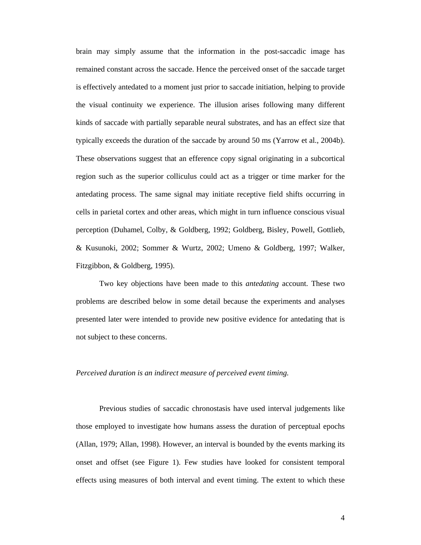brain may simply assume that the information in the post-saccadic image has remained constant across the saccade. Hence the perceived onset of the saccade target is effectively antedated to a moment just prior to saccade initiation, helping to provide the visual continuity we experience. The illusion arises following many different kinds of saccade with partially separable neural substrates, and has an effect size that typically exceeds the duration of the saccade by around 50 ms (Yarrow et al., 2004b). These observations suggest that an efference copy signal originating in a subcortical region such as the superior colliculus could act as a trigger or time marker for the antedating process. The same signal may initiate receptive field shifts occurring in cells in parietal cortex and other areas, which might in turn influence conscious visual perception (Duhamel, Colby, & Goldberg, 1992; Goldberg, Bisley, Powell, Gottlieb, & Kusunoki, 2002; Sommer & Wurtz, 2002; Umeno & Goldberg, 1997; Walker, Fitzgibbon, & Goldberg, 1995).

Two key objections have been made to this *antedating* account. These two problems are described below in some detail because the experiments and analyses presented later were intended to provide new positive evidence for antedating that is not subject to these concerns.

#### *Perceived duration is an indirect measure of perceived event timing.*

Previous studies of saccadic chronostasis have used interval judgements like those employed to investigate how humans assess the duration of perceptual epochs (Allan, 1979; Allan, 1998). However, an interval is bounded by the events marking its onset and offset (see Figure 1). Few studies have looked for consistent temporal effects using measures of both interval and event timing. The extent to which these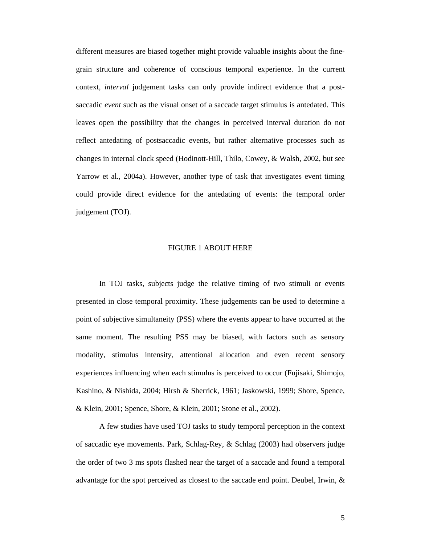different measures are biased together might provide valuable insights about the finegrain structure and coherence of conscious temporal experience. In the current context, *interval* judgement tasks can only provide indirect evidence that a postsaccadic *event* such as the visual onset of a saccade target stimulus is antedated. This leaves open the possibility that the changes in perceived interval duration do not reflect antedating of postsaccadic events, but rather alternative processes such as changes in internal clock speed (Hodinott-Hill, Thilo, Cowey, & Walsh, 2002, but see Yarrow et al., 2004a). However, another type of task that investigates event timing could provide direct evidence for the antedating of events: the temporal order judgement (TOJ).

#### FIGURE 1 ABOUT HERE

In TOJ tasks, subjects judge the relative timing of two stimuli or events presented in close temporal proximity. These judgements can be used to determine a point of subjective simultaneity (PSS) where the events appear to have occurred at the same moment. The resulting PSS may be biased, with factors such as sensory modality, stimulus intensity, attentional allocation and even recent sensory experiences influencing when each stimulus is perceived to occur (Fujisaki, Shimojo, Kashino, & Nishida, 2004; Hirsh & Sherrick, 1961; Jaskowski, 1999; Shore, Spence, & Klein, 2001; Spence, Shore, & Klein, 2001; Stone et al., 2002).

A few studies have used TOJ tasks to study temporal perception in the context of saccadic eye movements. Park, Schlag-Rey, & Schlag (2003) had observers judge the order of two 3 ms spots flashed near the target of a saccade and found a temporal advantage for the spot perceived as closest to the saccade end point. Deubel, Irwin, &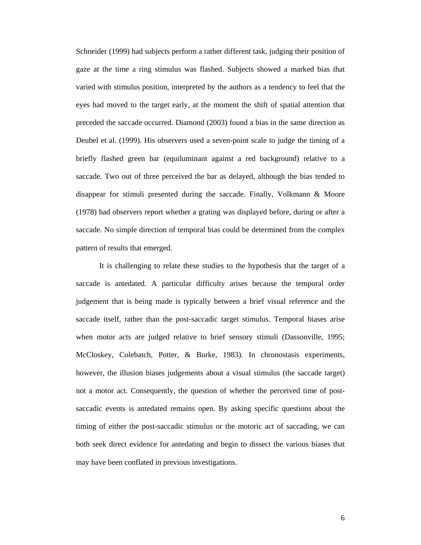Schneider (1999) had subjects perform a rather different task, judging their position of gaze at the time a ring stimulus was flashed. Subjects showed a marked bias that varied with stimulus position, interpreted by the authors as a tendency to feel that the eyes had moved to the target early, at the moment the shift of spatial attention that preceded the saccade occurred. Diamond (2003) found a bias in the same direction as Deubel et al. (1999). His observers used a seven-point scale to judge the timing of a briefly flashed green bar (equiluminant against a red background) relative to a saccade. Two out of three perceived the bar as delayed, although the bias tended to disappear for stimuli presented during the saccade. Finally, Volkmann & Moore (1978) had observers report whether a grating was displayed before, during or after a saccade. No simple direction of temporal bias could be determined from the complex pattern of results that emerged.

It is challenging to relate these studies to the hypothesis that the target of a saccade is antedated. A particular difficulty arises because the temporal order judgement that is being made is typically between a brief visual reference and the saccade itself, rather than the post-saccadic target stimulus. Temporal biases arise when motor acts are judged relative to brief sensory stimuli (Dassonville, 1995; McCloskey, Colebatch, Potter, & Burke, 1983). In chronostasis experiments, however, the illusion biases judgements about a visual stimulus (the saccade target) not a motor act. Consequently, the question of whether the perceived time of postsaccadic events is antedated remains open. By asking specific questions about the timing of either the post-saccadic stimulus or the motoric act of saccading, we can both seek direct evidence for antedating and begin to dissect the various biases that may have been conflated in previous investigations.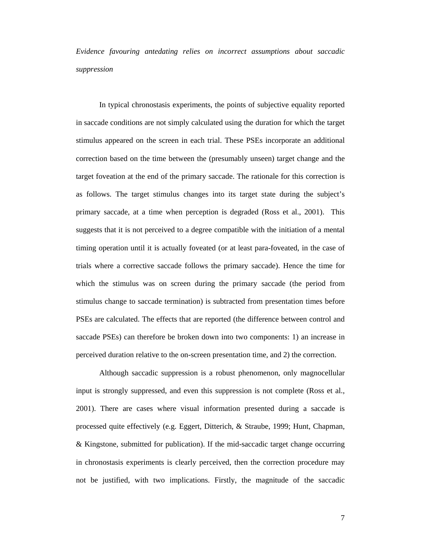*Evidence favouring antedating relies on incorrect assumptions about saccadic suppression* 

In typical chronostasis experiments, the points of subjective equality reported in saccade conditions are not simply calculated using the duration for which the target stimulus appeared on the screen in each trial. These PSEs incorporate an additional correction based on the time between the (presumably unseen) target change and the target foveation at the end of the primary saccade. The rationale for this correction is as follows. The target stimulus changes into its target state during the subject's primary saccade, at a time when perception is degraded (Ross et al., 2001). This suggests that it is not perceived to a degree compatible with the initiation of a mental timing operation until it is actually foveated (or at least para-foveated, in the case of trials where a corrective saccade follows the primary saccade). Hence the time for which the stimulus was on screen during the primary saccade (the period from stimulus change to saccade termination) is subtracted from presentation times before PSEs are calculated. The effects that are reported (the difference between control and saccade PSEs) can therefore be broken down into two components: 1) an increase in perceived duration relative to the on-screen presentation time, and 2) the correction.

Although saccadic suppression is a robust phenomenon, only magnocellular input is strongly suppressed, and even this suppression is not complete (Ross et al., 2001). There are cases where visual information presented during a saccade is processed quite effectively (e.g. Eggert, Ditterich, & Straube, 1999; Hunt, Chapman, & Kingstone, submitted for publication). If the mid-saccadic target change occurring in chronostasis experiments is clearly perceived, then the correction procedure may not be justified, with two implications. Firstly, the magnitude of the saccadic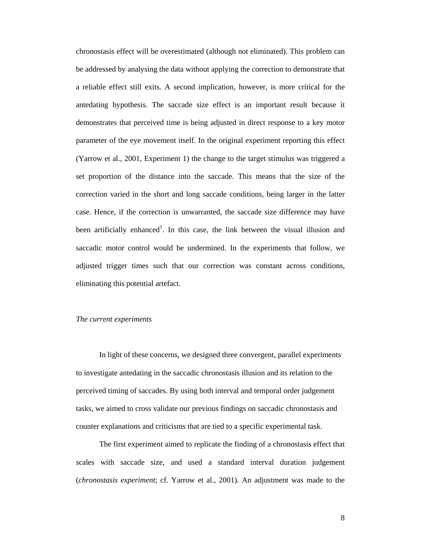chronostasis effect will be overestimated (although not eliminated). This problem can be addressed by analysing the data without applying the correction to demonstrate that a reliable effect still exits. A second implication, however, is more critical for the antedating hypothesis. The saccade size effect is an important result because it demonstrates that perceived time is being adjusted in direct response to a key motor parameter of the eye movement itself. In the original experiment reporting this effect (Yarrow et al., 2001, Experiment 1) the change to the target stimulus was triggered a set proportion of the distance into the saccade. This means that the size of the correction varied in the short and long saccade conditions, being larger in the latter case. Hence, if the correction is unwarranted, the saccade size difference may have been artificially enhanced<sup>1</sup>. In this case, the link between the visual illusion and saccadic motor control would be undermined. In the experiments that follow, we adjusted trigger times such that our correction was constant across conditions, eliminating this potential artefact.

#### *The current experiments*

In light of these concerns, we designed three convergent, parallel experiments to investigate antedating in the saccadic chronostasis illusion and its relation to the perceived timing of saccades. By using both interval and temporal order judgement tasks, we aimed to cross validate our previous findings on saccadic chronostasis and counter explanations and criticisms that are tied to a specific experimental task.

The first experiment aimed to replicate the finding of a chronostasis effect that scales with saccade size, and used a standard interval duration judgement (*chronostasis experiment*; cf. Yarrow et al., 2001). An adjustment was made to the

8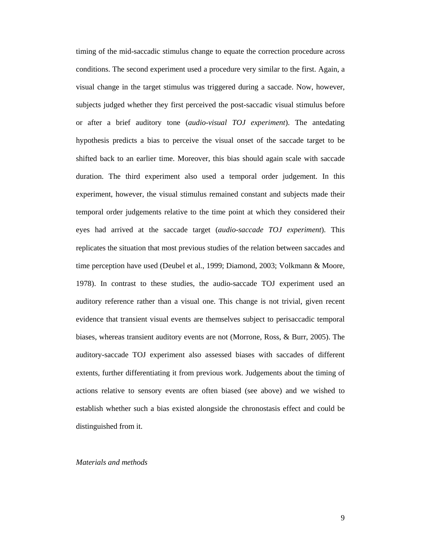timing of the mid-saccadic stimulus change to equate the correction procedure across conditions. The second experiment used a procedure very similar to the first. Again, a visual change in the target stimulus was triggered during a saccade. Now, however, subjects judged whether they first perceived the post-saccadic visual stimulus before or after a brief auditory tone (*audio-visual TOJ experiment*). The antedating hypothesis predicts a bias to perceive the visual onset of the saccade target to be shifted back to an earlier time. Moreover, this bias should again scale with saccade duration. The third experiment also used a temporal order judgement. In this experiment, however, the visual stimulus remained constant and subjects made their temporal order judgements relative to the time point at which they considered their eyes had arrived at the saccade target (*audio-saccade TOJ experiment*). This replicates the situation that most previous studies of the relation between saccades and time perception have used (Deubel et al., 1999; Diamond, 2003; Volkmann & Moore, 1978). In contrast to these studies, the audio-saccade TOJ experiment used an auditory reference rather than a visual one. This change is not trivial, given recent evidence that transient visual events are themselves subject to perisaccadic temporal biases, whereas transient auditory events are not (Morrone, Ross, & Burr, 2005). The auditory-saccade TOJ experiment also assessed biases with saccades of different extents, further differentiating it from previous work. Judgements about the timing of actions relative to sensory events are often biased (see above) and we wished to establish whether such a bias existed alongside the chronostasis effect and could be distinguished from it.

#### *Materials and methods*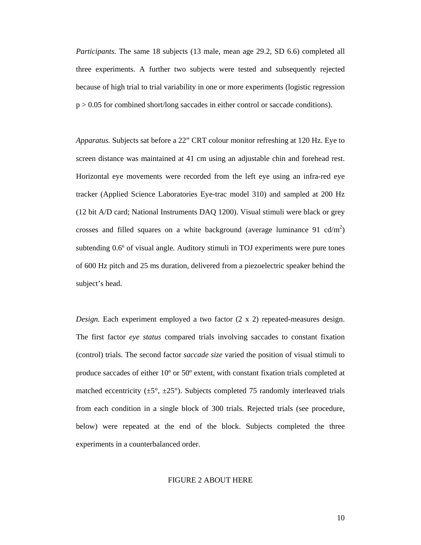*Participants.* The same 18 subjects (13 male, mean age 29.2, SD 6.6) completed all three experiments. A further two subjects were tested and subsequently rejected because of high trial to trial variability in one or more experiments (logistic regression p > 0.05 for combined short/long saccades in either control or saccade conditions).

*Apparatus.* Subjects sat before a 22" CRT colour monitor refreshing at 120 Hz. Eye to screen distance was maintained at 41 cm using an adjustable chin and forehead rest. Horizontal eye movements were recorded from the left eye using an infra-red eye tracker (Applied Science Laboratories Eye-trac model 310) and sampled at 200 Hz (12 bit A/D card; National Instruments DAQ 1200). Visual stimuli were black or grey crosses and filled squares on a white background (average luminance 91 cd/m<sup>2</sup>) subtending 0.6º of visual angle. Auditory stimuli in TOJ experiments were pure tones of 600 Hz pitch and 25 ms duration, delivered from a piezoelectric speaker behind the subject's head.

*Design.* Each experiment employed a two factor  $(2 \times 2)$  repeated-measures design. The first factor *eye status* compared trials involving saccades to constant fixation (control) trials. The second factor *saccade size* varied the position of visual stimuli to produce saccades of either 10º or 50º extent, with constant fixation trials completed at matched eccentricity  $(\pm 5^{\circ}, \pm 25^{\circ})$ . Subjects completed 75 randomly interleaved trials from each condition in a single block of 300 trials. Rejected trials (see procedure, below) were repeated at the end of the block. Subjects completed the three experiments in a counterbalanced order.

#### FIGURE 2 ABOUT HERE

10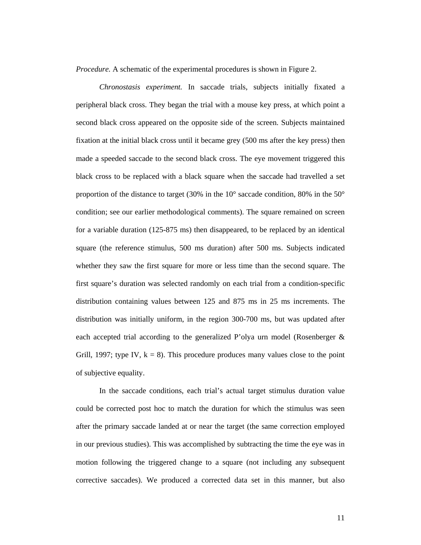*Procedure.* A schematic of the experimental procedures is shown in Figure 2.

*Chronostasis experiment.* In saccade trials, subjects initially fixated a peripheral black cross. They began the trial with a mouse key press, at which point a second black cross appeared on the opposite side of the screen. Subjects maintained fixation at the initial black cross until it became grey (500 ms after the key press) then made a speeded saccade to the second black cross. The eye movement triggered this black cross to be replaced with a black square when the saccade had travelled a set proportion of the distance to target (30% in the  $10^{\circ}$  saccade condition, 80% in the  $50^{\circ}$ condition; see our earlier methodological comments). The square remained on screen for a variable duration (125-875 ms) then disappeared, to be replaced by an identical square (the reference stimulus, 500 ms duration) after 500 ms. Subjects indicated whether they saw the first square for more or less time than the second square. The first square's duration was selected randomly on each trial from a condition-specific distribution containing values between 125 and 875 ms in 25 ms increments. The distribution was initially uniform, in the region 300-700 ms, but was updated after each accepted trial according to the generalized P'olya urn model (Rosenberger & Grill, 1997; type IV,  $k = 8$ ). This procedure produces many values close to the point of subjective equality.

In the saccade conditions, each trial's actual target stimulus duration value could be corrected post hoc to match the duration for which the stimulus was seen after the primary saccade landed at or near the target (the same correction employed in our previous studies). This was accomplished by subtracting the time the eye was in motion following the triggered change to a square (not including any subsequent corrective saccades). We produced a corrected data set in this manner, but also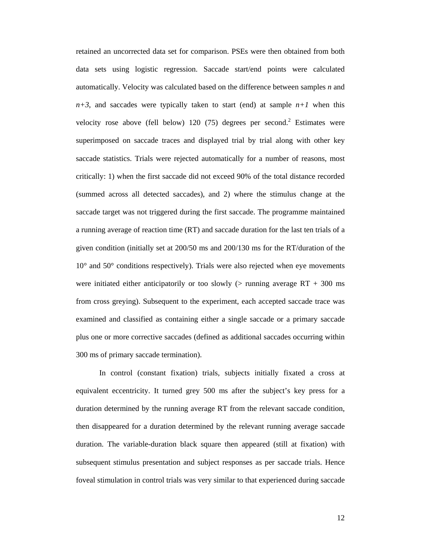retained an uncorrected data set for comparison. PSEs were then obtained from both data sets using logistic regression. Saccade start/end points were calculated automatically. Velocity was calculated based on the difference between samples *n* and  $n+3$ , and saccades were typically taken to start (end) at sample  $n+1$  when this velocity rose above (fell below)  $120(75)$  degrees per second.<sup>2</sup> Estimates were superimposed on saccade traces and displayed trial by trial along with other key saccade statistics. Trials were rejected automatically for a number of reasons, most critically: 1) when the first saccade did not exceed 90% of the total distance recorded (summed across all detected saccades), and 2) where the stimulus change at the saccade target was not triggered during the first saccade. The programme maintained a running average of reaction time (RT) and saccade duration for the last ten trials of a given condition (initially set at 200/50 ms and 200/130 ms for the RT/duration of the 10° and 50° conditions respectively). Trials were also rejected when eye movements were initiated either anticipatorily or too slowly ( $>$  running average RT + 300 ms from cross greying). Subsequent to the experiment, each accepted saccade trace was examined and classified as containing either a single saccade or a primary saccade plus one or more corrective saccades (defined as additional saccades occurring within 300 ms of primary saccade termination).

In control (constant fixation) trials, subjects initially fixated a cross at equivalent eccentricity. It turned grey 500 ms after the subject's key press for a duration determined by the running average RT from the relevant saccade condition, then disappeared for a duration determined by the relevant running average saccade duration. The variable-duration black square then appeared (still at fixation) with subsequent stimulus presentation and subject responses as per saccade trials. Hence foveal stimulation in control trials was very similar to that experienced during saccade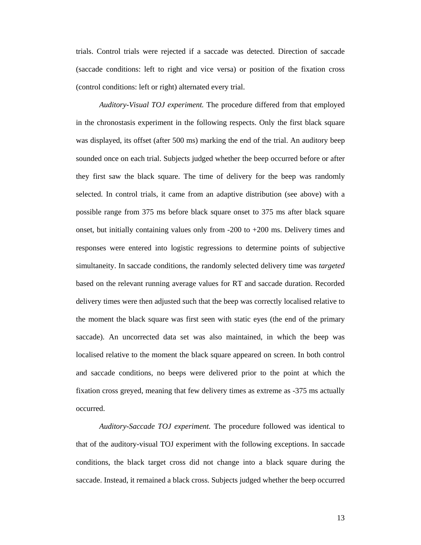trials. Control trials were rejected if a saccade was detected. Direction of saccade (saccade conditions: left to right and vice versa) or position of the fixation cross (control conditions: left or right) alternated every trial.

*Auditory-Visual TOJ experiment.* The procedure differed from that employed in the chronostasis experiment in the following respects. Only the first black square was displayed, its offset (after 500 ms) marking the end of the trial. An auditory beep sounded once on each trial. Subjects judged whether the beep occurred before or after they first saw the black square. The time of delivery for the beep was randomly selected. In control trials, it came from an adaptive distribution (see above) with a possible range from 375 ms before black square onset to 375 ms after black square onset, but initially containing values only from  $-200$  to  $+200$  ms. Delivery times and responses were entered into logistic regressions to determine points of subjective simultaneity. In saccade conditions, the randomly selected delivery time was *targeted* based on the relevant running average values for RT and saccade duration. Recorded delivery times were then adjusted such that the beep was correctly localised relative to the moment the black square was first seen with static eyes (the end of the primary saccade). An uncorrected data set was also maintained, in which the beep was localised relative to the moment the black square appeared on screen. In both control and saccade conditions, no beeps were delivered prior to the point at which the fixation cross greyed, meaning that few delivery times as extreme as -375 ms actually occurred.

*Auditory-Saccade TOJ experiment.* The procedure followed was identical to that of the auditory-visual TOJ experiment with the following exceptions. In saccade conditions, the black target cross did not change into a black square during the saccade. Instead, it remained a black cross. Subjects judged whether the beep occurred

13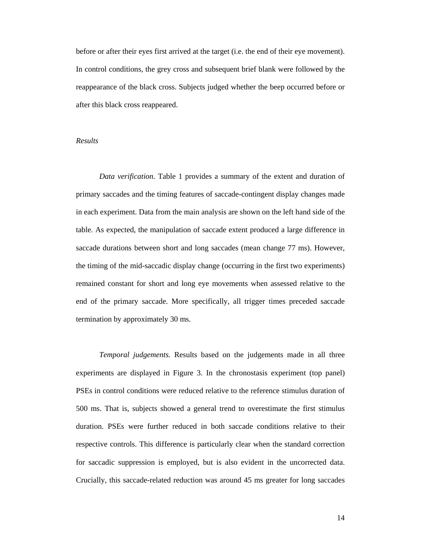before or after their eyes first arrived at the target (i.e. the end of their eye movement). In control conditions, the grey cross and subsequent brief blank were followed by the reappearance of the black cross. Subjects judged whether the beep occurred before or after this black cross reappeared.

#### *Results*

 *Data verification.* Table 1 provides a summary of the extent and duration of primary saccades and the timing features of saccade-contingent display changes made in each experiment. Data from the main analysis are shown on the left hand side of the table. As expected, the manipulation of saccade extent produced a large difference in saccade durations between short and long saccades (mean change 77 ms). However, the timing of the mid-saccadic display change (occurring in the first two experiments) remained constant for short and long eye movements when assessed relative to the end of the primary saccade. More specifically, all trigger times preceded saccade termination by approximately 30 ms.

*Temporal judgements.* Results based on the judgements made in all three experiments are displayed in Figure 3. In the chronostasis experiment (top panel) PSEs in control conditions were reduced relative to the reference stimulus duration of 500 ms. That is, subjects showed a general trend to overestimate the first stimulus duration. PSEs were further reduced in both saccade conditions relative to their respective controls. This difference is particularly clear when the standard correction for saccadic suppression is employed, but is also evident in the uncorrected data. Crucially, this saccade-related reduction was around 45 ms greater for long saccades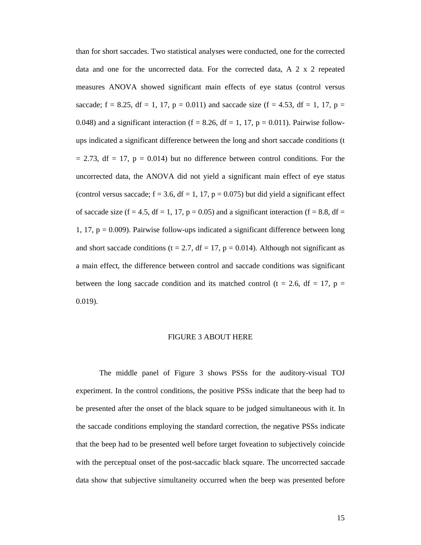than for short saccades. Two statistical analyses were conducted, one for the corrected data and one for the uncorrected data. For the corrected data, A 2 x 2 repeated measures ANOVA showed significant main effects of eye status (control versus saccade;  $f = 8.25$ ,  $df = 1$ , 17,  $p = 0.011$ ) and saccade size ( $f = 4.53$ ,  $df = 1$ , 17,  $p = 0.011$ ) 0.048) and a significant interaction (f = 8.26, df = 1, 17, p = 0.011). Pairwise followups indicated a significant difference between the long and short saccade conditions (t  $= 2.73$ , df  $= 17$ ,  $p = 0.014$ ) but no difference between control conditions. For the uncorrected data, the ANOVA did not yield a significant main effect of eye status (control versus saccade;  $f = 3.6$ ,  $df = 1$ , 17,  $p = 0.075$ ) but did yield a significant effect of saccade size (f = 4.5, df = 1, 17, p = 0.05) and a significant interaction (f = 8.8, df = 1, 17,  $p = 0.009$ ). Pairwise follow-ups indicated a significant difference between long and short saccade conditions (t = 2.7, df = 17, p = 0.014). Although not significant as a main effect, the difference between control and saccade conditions was significant between the long saccade condition and its matched control (t = 2.6, df = 17, p = 0.019).

### FIGURE 3 ABOUT HERE

 The middle panel of Figure 3 shows PSSs for the auditory-visual TOJ experiment. In the control conditions, the positive PSSs indicate that the beep had to be presented after the onset of the black square to be judged simultaneous with it. In the saccade conditions employing the standard correction, the negative PSSs indicate that the beep had to be presented well before target foveation to subjectively coincide with the perceptual onset of the post-saccadic black square. The uncorrected saccade data show that subjective simultaneity occurred when the beep was presented before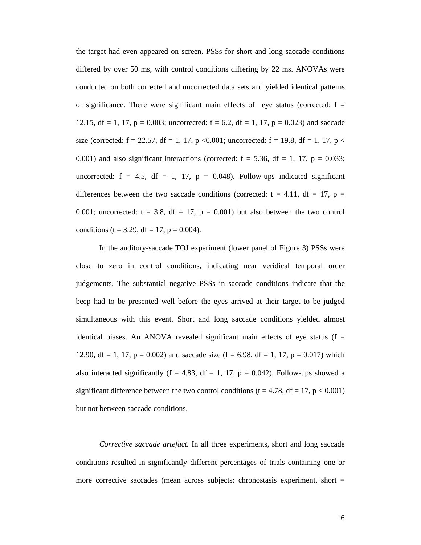the target had even appeared on screen. PSSs for short and long saccade conditions differed by over 50 ms, with control conditions differing by 22 ms. ANOVAs were conducted on both corrected and uncorrected data sets and yielded identical patterns of significance. There were significant main effects of eye status (corrected:  $f =$ 12.15, df = 1, 17, p = 0.003; uncorrected:  $f = 6.2$ , df = 1, 17, p = 0.023) and saccade size (corrected:  $f = 22.57$ ,  $df = 1$ , 17, p < 0.001; uncorrected:  $f = 19.8$ ,  $df = 1$ , 17, p < 0.001) and also significant interactions (corrected:  $f = 5.36$ ,  $df = 1$ , 17,  $p = 0.033$ ; uncorrected:  $f = 4.5$ ,  $df = 1$ , 17,  $p = 0.048$ ). Follow-ups indicated significant differences between the two saccade conditions (corrected:  $t = 4.11$ ,  $df = 17$ ,  $p =$ 0.001; uncorrected:  $t = 3.8$ ,  $df = 17$ ,  $p = 0.001$ ) but also between the two control conditions (t = 3.29, df = 17, p = 0.004).

In the auditory-saccade TOJ experiment (lower panel of Figure 3) PSSs were close to zero in control conditions, indicating near veridical temporal order judgements. The substantial negative PSSs in saccade conditions indicate that the beep had to be presented well before the eyes arrived at their target to be judged simultaneous with this event. Short and long saccade conditions yielded almost identical biases. An ANOVA revealed significant main effects of eye status ( $f =$ 12.90, df = 1, 17,  $p = 0.002$ ) and saccade size (f = 6.98, df = 1, 17,  $p = 0.017$ ) which also interacted significantly (f = 4.83, df = 1, 17, p = 0.042). Follow-ups showed a significant difference between the two control conditions ( $t = 4.78$ ,  $df = 17$ ,  $p < 0.001$ ) but not between saccade conditions.

*Corrective saccade artefact.* In all three experiments, short and long saccade conditions resulted in significantly different percentages of trials containing one or more corrective saccades (mean across subjects: chronostasis experiment, short =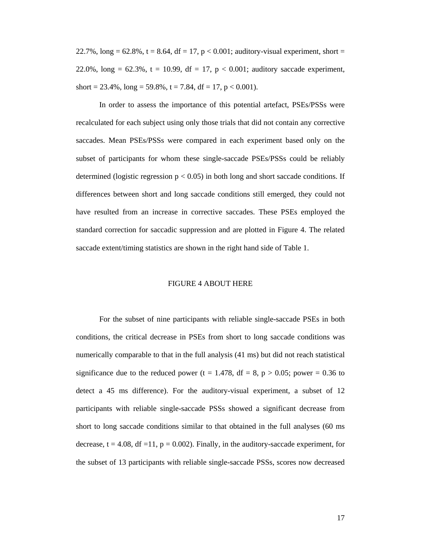22.7%,  $\log = 62.8\%$ , t = 8.64, df = 17, p < 0.001; auditory-visual experiment, short = 22.0%,  $\log = 62.3$ %, t = 10.99, df = 17, p < 0.001; auditory saccade experiment, short = 23.4%,  $long = 59.8\%$ ,  $t = 7.84$ ,  $df = 17$ ,  $p < 0.001$ ).

In order to assess the importance of this potential artefact, PSEs/PSSs were recalculated for each subject using only those trials that did not contain any corrective saccades. Mean PSEs/PSSs were compared in each experiment based only on the subset of participants for whom these single-saccade PSEs/PSSs could be reliably determined (logistic regression  $p < 0.05$ ) in both long and short saccade conditions. If differences between short and long saccade conditions still emerged, they could not have resulted from an increase in corrective saccades. These PSEs employed the standard correction for saccadic suppression and are plotted in Figure 4. The related saccade extent/timing statistics are shown in the right hand side of Table 1.

#### FIGURE 4 ABOUT HERE

For the subset of nine participants with reliable single-saccade PSEs in both conditions, the critical decrease in PSEs from short to long saccade conditions was numerically comparable to that in the full analysis (41 ms) but did not reach statistical significance due to the reduced power (t = 1.478, df = 8, p > 0.05; power = 0.36 to detect a 45 ms difference). For the auditory-visual experiment, a subset of 12 participants with reliable single-saccade PSSs showed a significant decrease from short to long saccade conditions similar to that obtained in the full analyses (60 ms decrease,  $t = 4.08$ , df = 11,  $p = 0.002$ ). Finally, in the auditory-saccade experiment, for the subset of 13 participants with reliable single-saccade PSSs, scores now decreased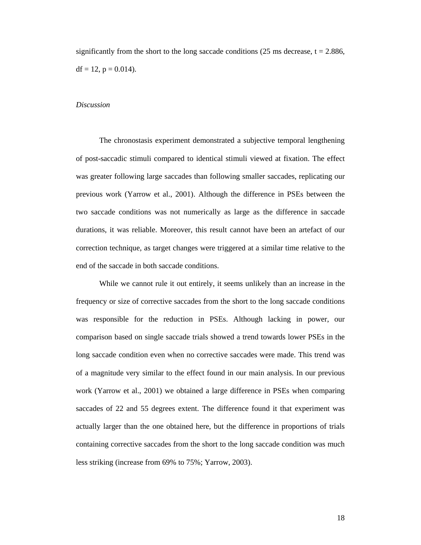significantly from the short to the long saccade conditions (25 ms decrease,  $t = 2.886$ ,  $df = 12$ ,  $p = 0.014$ ).

#### *Discussion*

The chronostasis experiment demonstrated a subjective temporal lengthening of post-saccadic stimuli compared to identical stimuli viewed at fixation. The effect was greater following large saccades than following smaller saccades, replicating our previous work (Yarrow et al., 2001). Although the difference in PSEs between the two saccade conditions was not numerically as large as the difference in saccade durations, it was reliable. Moreover, this result cannot have been an artefact of our correction technique, as target changes were triggered at a similar time relative to the end of the saccade in both saccade conditions.

While we cannot rule it out entirely, it seems unlikely than an increase in the frequency or size of corrective saccades from the short to the long saccade conditions was responsible for the reduction in PSEs. Although lacking in power, our comparison based on single saccade trials showed a trend towards lower PSEs in the long saccade condition even when no corrective saccades were made. This trend was of a magnitude very similar to the effect found in our main analysis. In our previous work (Yarrow et al., 2001) we obtained a large difference in PSEs when comparing saccades of 22 and 55 degrees extent. The difference found it that experiment was actually larger than the one obtained here, but the difference in proportions of trials containing corrective saccades from the short to the long saccade condition was much less striking (increase from 69% to 75%; Yarrow, 2003).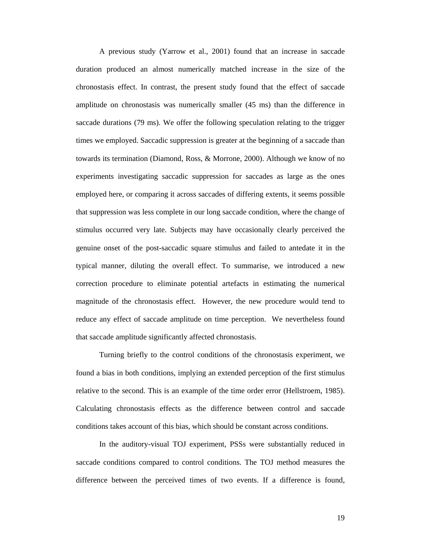A previous study (Yarrow et al., 2001) found that an increase in saccade duration produced an almost numerically matched increase in the size of the chronostasis effect. In contrast, the present study found that the effect of saccade amplitude on chronostasis was numerically smaller (45 ms) than the difference in saccade durations (79 ms). We offer the following speculation relating to the trigger times we employed. Saccadic suppression is greater at the beginning of a saccade than towards its termination (Diamond, Ross, & Morrone, 2000). Although we know of no experiments investigating saccadic suppression for saccades as large as the ones employed here, or comparing it across saccades of differing extents, it seems possible that suppression was less complete in our long saccade condition, where the change of stimulus occurred very late. Subjects may have occasionally clearly perceived the genuine onset of the post-saccadic square stimulus and failed to antedate it in the typical manner, diluting the overall effect. To summarise, we introduced a new correction procedure to eliminate potential artefacts in estimating the numerical magnitude of the chronostasis effect. However, the new procedure would tend to reduce any effect of saccade amplitude on time perception. We nevertheless found that saccade amplitude significantly affected chronostasis.

Turning briefly to the control conditions of the chronostasis experiment, we found a bias in both conditions, implying an extended perception of the first stimulus relative to the second. This is an example of the time order error (Hellstroem, 1985). Calculating chronostasis effects as the difference between control and saccade conditions takes account of this bias, which should be constant across conditions.

In the auditory-visual TOJ experiment, PSSs were substantially reduced in saccade conditions compared to control conditions. The TOJ method measures the difference between the perceived times of two events. If a difference is found,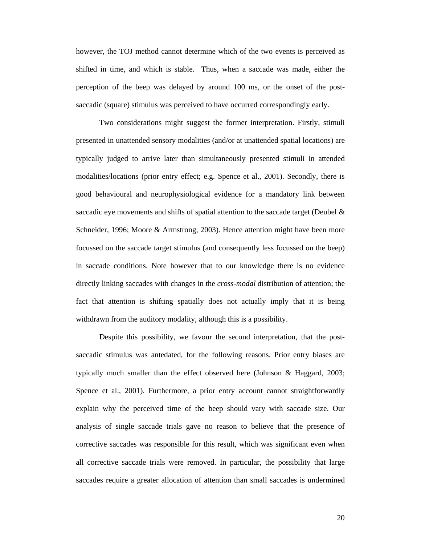however, the TOJ method cannot determine which of the two events is perceived as shifted in time, and which is stable. Thus, when a saccade was made, either the perception of the beep was delayed by around 100 ms, or the onset of the postsaccadic (square) stimulus was perceived to have occurred correspondingly early.

Two considerations might suggest the former interpretation. Firstly, stimuli presented in unattended sensory modalities (and/or at unattended spatial locations) are typically judged to arrive later than simultaneously presented stimuli in attended modalities/locations (prior entry effect; e.g. Spence et al., 2001). Secondly, there is good behavioural and neurophysiological evidence for a mandatory link between saccadic eye movements and shifts of spatial attention to the saccade target (Deubel  $\&$ Schneider, 1996; Moore & Armstrong, 2003). Hence attention might have been more focussed on the saccade target stimulus (and consequently less focussed on the beep) in saccade conditions. Note however that to our knowledge there is no evidence directly linking saccades with changes in the *cross-modal* distribution of attention; the fact that attention is shifting spatially does not actually imply that it is being withdrawn from the auditory modality, although this is a possibility.

Despite this possibility, we favour the second interpretation, that the postsaccadic stimulus was antedated, for the following reasons. Prior entry biases are typically much smaller than the effect observed here (Johnson & Haggard, 2003; Spence et al., 2001). Furthermore, a prior entry account cannot straightforwardly explain why the perceived time of the beep should vary with saccade size. Our analysis of single saccade trials gave no reason to believe that the presence of corrective saccades was responsible for this result, which was significant even when all corrective saccade trials were removed. In particular, the possibility that large saccades require a greater allocation of attention than small saccades is undermined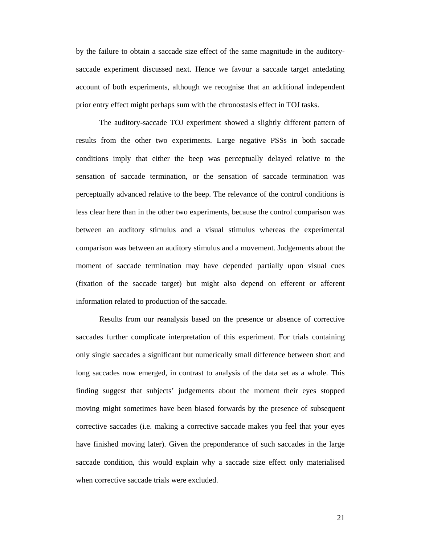by the failure to obtain a saccade size effect of the same magnitude in the auditorysaccade experiment discussed next. Hence we favour a saccade target antedating account of both experiments, although we recognise that an additional independent prior entry effect might perhaps sum with the chronostasis effect in TOJ tasks.

 The auditory-saccade TOJ experiment showed a slightly different pattern of results from the other two experiments. Large negative PSSs in both saccade conditions imply that either the beep was perceptually delayed relative to the sensation of saccade termination, or the sensation of saccade termination was perceptually advanced relative to the beep. The relevance of the control conditions is less clear here than in the other two experiments, because the control comparison was between an auditory stimulus and a visual stimulus whereas the experimental comparison was between an auditory stimulus and a movement. Judgements about the moment of saccade termination may have depended partially upon visual cues (fixation of the saccade target) but might also depend on efferent or afferent information related to production of the saccade.

 Results from our reanalysis based on the presence or absence of corrective saccades further complicate interpretation of this experiment. For trials containing only single saccades a significant but numerically small difference between short and long saccades now emerged, in contrast to analysis of the data set as a whole. This finding suggest that subjects' judgements about the moment their eyes stopped moving might sometimes have been biased forwards by the presence of subsequent corrective saccades (i.e. making a corrective saccade makes you feel that your eyes have finished moving later). Given the preponderance of such saccades in the large saccade condition, this would explain why a saccade size effect only materialised when corrective saccade trials were excluded.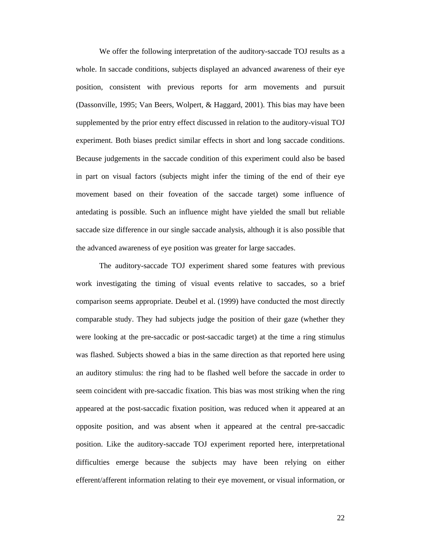We offer the following interpretation of the auditory-saccade TOJ results as a whole. In saccade conditions, subjects displayed an advanced awareness of their eye position, consistent with previous reports for arm movements and pursuit (Dassonville, 1995; Van Beers, Wolpert, & Haggard, 2001). This bias may have been supplemented by the prior entry effect discussed in relation to the auditory-visual TOJ experiment. Both biases predict similar effects in short and long saccade conditions. Because judgements in the saccade condition of this experiment could also be based in part on visual factors (subjects might infer the timing of the end of their eye movement based on their foveation of the saccade target) some influence of antedating is possible. Such an influence might have yielded the small but reliable saccade size difference in our single saccade analysis, although it is also possible that the advanced awareness of eye position was greater for large saccades.

The auditory-saccade TOJ experiment shared some features with previous work investigating the timing of visual events relative to saccades, so a brief comparison seems appropriate. Deubel et al. (1999) have conducted the most directly comparable study. They had subjects judge the position of their gaze (whether they were looking at the pre-saccadic or post-saccadic target) at the time a ring stimulus was flashed. Subjects showed a bias in the same direction as that reported here using an auditory stimulus: the ring had to be flashed well before the saccade in order to seem coincident with pre-saccadic fixation. This bias was most striking when the ring appeared at the post-saccadic fixation position, was reduced when it appeared at an opposite position, and was absent when it appeared at the central pre-saccadic position. Like the auditory-saccade TOJ experiment reported here, interpretational difficulties emerge because the subjects may have been relying on either efferent/afferent information relating to their eye movement, or visual information, or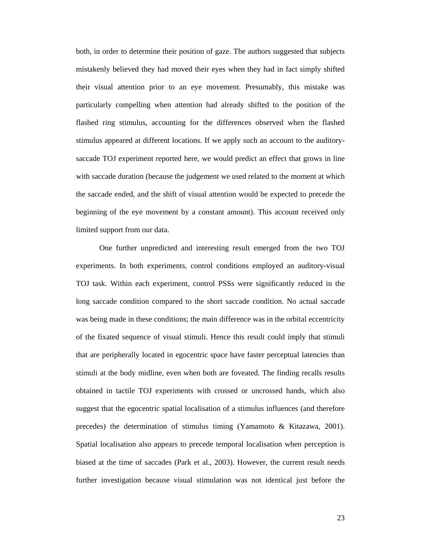both, in order to determine their position of gaze. The authors suggested that subjects mistakenly believed they had moved their eyes when they had in fact simply shifted their visual attention prior to an eye movement. Presumably, this mistake was particularly compelling when attention had already shifted to the position of the flashed ring stimulus, accounting for the differences observed when the flashed stimulus appeared at different locations. If we apply such an account to the auditorysaccade TOJ experiment reported here, we would predict an effect that grows in line with saccade duration (because the judgement we used related to the moment at which the saccade ended, and the shift of visual attention would be expected to precede the beginning of the eye movement by a constant amount). This account received only limited support from our data.

 One further unpredicted and interesting result emerged from the two TOJ experiments. In both experiments, control conditions employed an auditory-visual TOJ task. Within each experiment, control PSSs were significantly reduced in the long saccade condition compared to the short saccade condition. No actual saccade was being made in these conditions; the main difference was in the orbital eccentricity of the fixated sequence of visual stimuli. Hence this result could imply that stimuli that are peripherally located in egocentric space have faster perceptual latencies than stimuli at the body midline, even when both are foveated. The finding recalls results obtained in tactile TOJ experiments with crossed or uncrossed hands, which also suggest that the egocentric spatial localisation of a stimulus influences (and therefore precedes) the determination of stimulus timing (Yamamoto & Kitazawa, 2001). Spatial localisation also appears to precede temporal localisation when perception is biased at the time of saccades (Park et al., 2003). However, the current result needs further investigation because visual stimulation was not identical just before the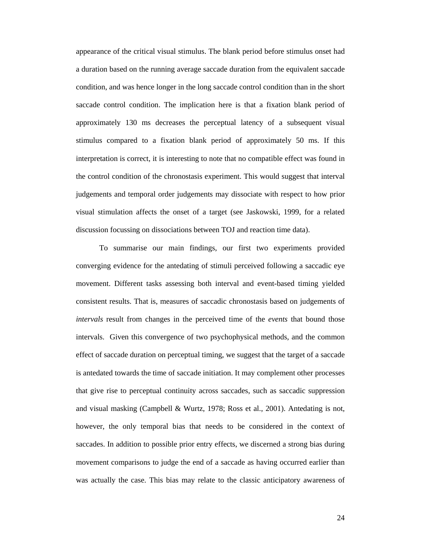appearance of the critical visual stimulus. The blank period before stimulus onset had a duration based on the running average saccade duration from the equivalent saccade condition, and was hence longer in the long saccade control condition than in the short saccade control condition. The implication here is that a fixation blank period of approximately 130 ms decreases the perceptual latency of a subsequent visual stimulus compared to a fixation blank period of approximately 50 ms. If this interpretation is correct, it is interesting to note that no compatible effect was found in the control condition of the chronostasis experiment. This would suggest that interval judgements and temporal order judgements may dissociate with respect to how prior visual stimulation affects the onset of a target (see Jaskowski, 1999, for a related discussion focussing on dissociations between TOJ and reaction time data).

 To summarise our main findings, our first two experiments provided converging evidence for the antedating of stimuli perceived following a saccadic eye movement. Different tasks assessing both interval and event-based timing yielded consistent results. That is, measures of saccadic chronostasis based on judgements of *intervals* result from changes in the perceived time of the *events* that bound those intervals. Given this convergence of two psychophysical methods, and the common effect of saccade duration on perceptual timing, we suggest that the target of a saccade is antedated towards the time of saccade initiation. It may complement other processes that give rise to perceptual continuity across saccades, such as saccadic suppression and visual masking (Campbell & Wurtz, 1978; Ross et al., 2001). Antedating is not, however, the only temporal bias that needs to be considered in the context of saccades. In addition to possible prior entry effects, we discerned a strong bias during movement comparisons to judge the end of a saccade as having occurred earlier than was actually the case. This bias may relate to the classic anticipatory awareness of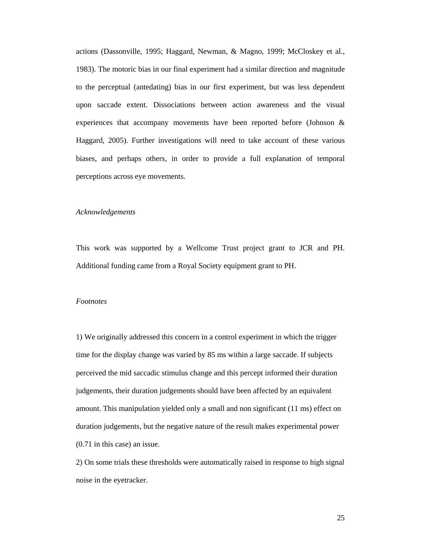actions (Dassonville, 1995; Haggard, Newman, & Magno, 1999; McCloskey et al., 1983). The motoric bias in our final experiment had a similar direction and magnitude to the perceptual (antedating) bias in our first experiment, but was less dependent upon saccade extent. Dissociations between action awareness and the visual experiences that accompany movements have been reported before (Johnson & Haggard, 2005). Further investigations will need to take account of these various biases, and perhaps others, in order to provide a full explanation of temporal perceptions across eye movements.

#### *Acknowledgements*

This work was supported by a Wellcome Trust project grant to JCR and PH. Additional funding came from a Royal Society equipment grant to PH.

#### *Footnotes*

1) We originally addressed this concern in a control experiment in which the trigger time for the display change was varied by 85 ms within a large saccade. If subjects perceived the mid saccadic stimulus change and this percept informed their duration judgements, their duration judgements should have been affected by an equivalent amount. This manipulation yielded only a small and non significant (11 ms) effect on duration judgements, but the negative nature of the result makes experimental power (0.71 in this case) an issue.

2) On some trials these thresholds were automatically raised in response to high signal noise in the eyetracker.

25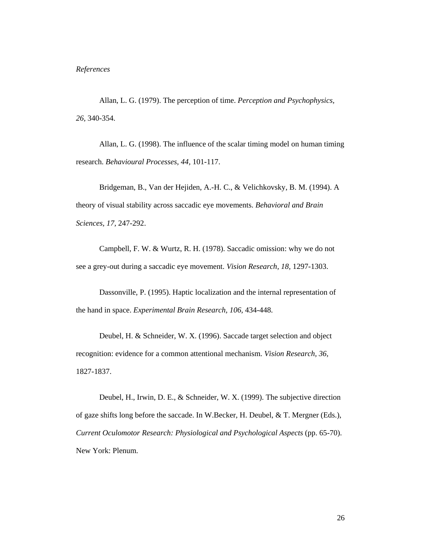Allan, L. G. (1979). The perception of time. *Perception and Psychophysics, 26,* 340-354.

Allan, L. G. (1998). The influence of the scalar timing model on human timing research. *Behavioural Processes, 44,* 101-117.

Bridgeman, B., Van der Hejiden, A.-H. C., & Velichkovsky, B. M. (1994). A theory of visual stability across saccadic eye movements. *Behavioral and Brain Sciences, 17,* 247-292.

Campbell, F. W. & Wurtz, R. H. (1978). Saccadic omission: why we do not see a grey-out during a saccadic eye movement. *Vision Research, 18,* 1297-1303.

Dassonville, P. (1995). Haptic localization and the internal representation of the hand in space. *Experimental Brain Research, 106,* 434-448.

Deubel, H. & Schneider, W. X. (1996). Saccade target selection and object recognition: evidence for a common attentional mechanism. *Vision Research, 36,* 1827-1837.

Deubel, H., Irwin, D. E., & Schneider, W. X. (1999). The subjective direction of gaze shifts long before the saccade. In W.Becker, H. Deubel, & T. Mergner (Eds.), *Current Oculomotor Research: Physiological and Psychological Aspects* (pp. 65-70). New York: Plenum.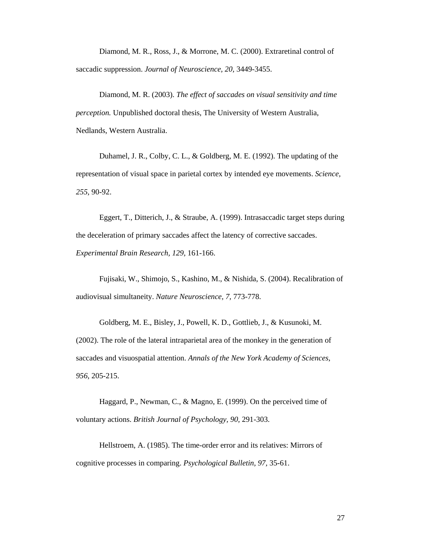Diamond, M. R., Ross, J., & Morrone, M. C. (2000). Extraretinal control of saccadic suppression. *Journal of Neuroscience, 20,* 3449-3455.

Diamond, M. R. (2003). *The effect of saccades on visual sensitivity and time perception.* Unpublished doctoral thesis, The University of Western Australia, Nedlands, Western Australia.

Duhamel, J. R., Colby, C. L., & Goldberg, M. E. (1992). The updating of the representation of visual space in parietal cortex by intended eye movements. *Science, 255,* 90-92.

Eggert, T., Ditterich, J., & Straube, A. (1999). Intrasaccadic target steps during the deceleration of primary saccades affect the latency of corrective saccades. *Experimental Brain Research, 129,* 161-166.

Fujisaki, W., Shimojo, S., Kashino, M., & Nishida, S. (2004). Recalibration of audiovisual simultaneity. *Nature Neuroscience, 7,* 773-778.

Goldberg, M. E., Bisley, J., Powell, K. D., Gottlieb, J., & Kusunoki, M. (2002). The role of the lateral intraparietal area of the monkey in the generation of saccades and visuospatial attention. *Annals of the New York Academy of Sciences, 956,* 205-215.

Haggard, P., Newman, C., & Magno, E. (1999). On the perceived time of voluntary actions. *British Journal of Psychology, 90,* 291-303.

Hellstroem, A. (1985). The time-order error and its relatives: Mirrors of cognitive processes in comparing. *Psychological Bulletin, 97,* 35-61.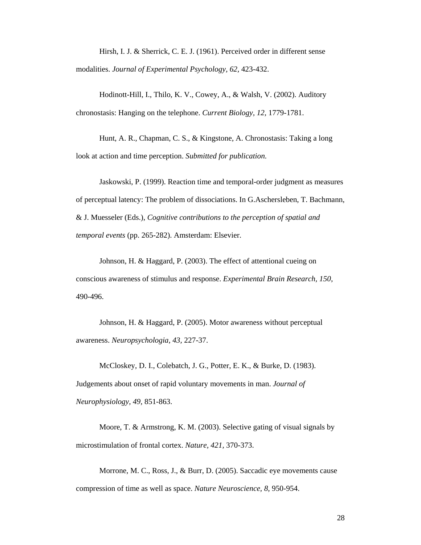Hirsh, I. J. & Sherrick, C. E. J. (1961). Perceived order in different sense modalities. *Journal of Experimental Psychology, 62,* 423-432.

Hodinott-Hill, I., Thilo, K. V., Cowey, A., & Walsh, V. (2002). Auditory chronostasis: Hanging on the telephone. *Current Biology, 12,* 1779-1781.

Hunt, A. R., Chapman, C. S., & Kingstone, A. Chronostasis: Taking a long look at action and time perception. *Submitted for publication.*

Jaskowski, P. (1999). Reaction time and temporal-order judgment as measures of perceptual latency: The problem of dissociations. In G.Aschersleben, T. Bachmann, & J. Muesseler (Eds.), *Cognitive contributions to the perception of spatial and temporal events* (pp. 265-282). Amsterdam: Elsevier.

Johnson, H. & Haggard, P. (2003). The effect of attentional cueing on conscious awareness of stimulus and response. *Experimental Brain Research, 150,* 490-496.

Johnson, H. & Haggard, P. (2005). Motor awareness without perceptual awareness. *Neuropsychologia, 43,* 227-37.

McCloskey, D. I., Colebatch, J. G., Potter, E. K., & Burke, D. (1983). Judgements about onset of rapid voluntary movements in man. *Journal of Neurophysiology, 49,* 851-863.

Moore, T. & Armstrong, K. M. (2003). Selective gating of visual signals by microstimulation of frontal cortex. *Nature, 421,* 370-373.

Morrone, M. C., Ross, J., & Burr, D. (2005). Saccadic eye movements cause compression of time as well as space. *Nature Neuroscience, 8,* 950-954.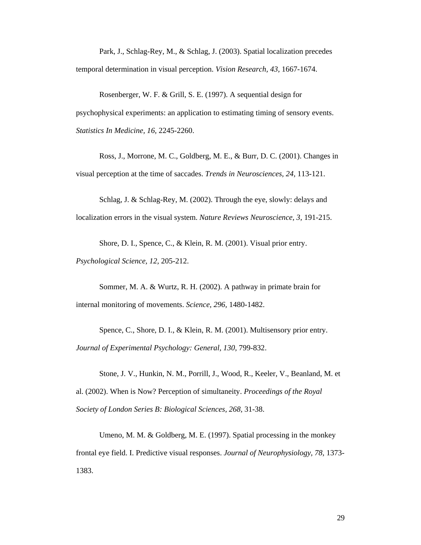Park, J., Schlag-Rey, M., & Schlag, J. (2003). Spatial localization precedes temporal determination in visual perception. *Vision Research, 43,* 1667-1674.

Rosenberger, W. F. & Grill, S. E. (1997). A sequential design for psychophysical experiments: an application to estimating timing of sensory events. *Statistics In Medicine, 16,* 2245-2260.

Ross, J., Morrone, M. C., Goldberg, M. E., & Burr, D. C. (2001). Changes in visual perception at the time of saccades. *Trends in Neurosciences, 24,* 113-121.

Schlag, J. & Schlag-Rey, M. (2002). Through the eye, slowly: delays and localization errors in the visual system. *Nature Reviews Neuroscience, 3,* 191-215.

Shore, D. I., Spence, C., & Klein, R. M. (2001). Visual prior entry.

*Psychological Science, 12,* 205-212.

Sommer, M. A. & Wurtz, R. H. (2002). A pathway in primate brain for internal monitoring of movements. *Science, 296,* 1480-1482.

Spence, C., Shore, D. I., & Klein, R. M. (2001). Multisensory prior entry. *Journal of Experimental Psychology: General, 130,* 799-832.

Stone, J. V., Hunkin, N. M., Porrill, J., Wood, R., Keeler, V., Beanland, M. et al. (2002). When is Now? Perception of simultaneity. *Proceedings of the Royal Society of London Series B: Biological Sciences, 268,* 31-38.

Umeno, M. M. & Goldberg, M. E. (1997). Spatial processing in the monkey frontal eye field. I. Predictive visual responses. *Journal of Neurophysiology, 78,* 1373- 1383.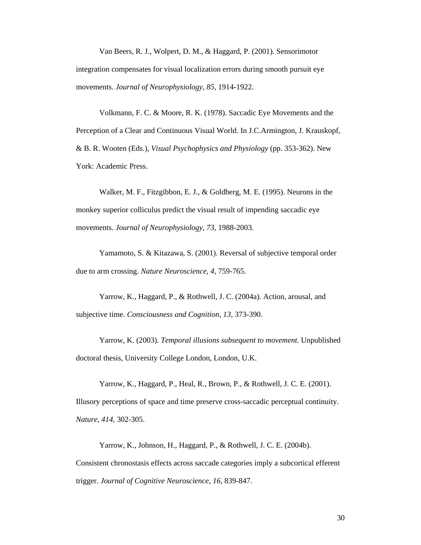Van Beers, R. J., Wolpert, D. M., & Haggard, P. (2001). Sensorimotor integration compensates for visual localization errors during smooth pursuit eye movements. *Journal of Neurophysiology, 85,* 1914-1922.

Volkmann, F. C. & Moore, R. K. (1978). Saccadic Eye Movements and the Perception of a Clear and Continuous Visual World. In J.C.Armington, J. Krauskopf, & B. R. Wooten (Eds.), *Visual Psychophysics and Physiology* (pp. 353-362). New York: Academic Press.

Walker, M. F., Fitzgibbon, E. J., & Goldberg, M. E. (1995). Neurons in the monkey superior colliculus predict the visual result of impending saccadic eye movements. *Journal of Neurophysiology, 73,* 1988-2003.

Yamamoto, S. & Kitazawa, S. (2001). Reversal of subjective temporal order due to arm crossing. *Nature Neuroscience, 4,* 759-765.

Yarrow, K., Haggard, P., & Rothwell, J. C. (2004a). Action, arousal, and subjective time. *Consciousness and Cognition, 13,* 373-390.

Yarrow, K. (2003). *Temporal illusions subsequent to movement.* Unpublished doctoral thesis, University College London, London, U.K.

Yarrow, K., Haggard, P., Heal, R., Brown, P., & Rothwell, J. C. E. (2001). Illusory perceptions of space and time preserve cross-saccadic perceptual continuity. *Nature, 414,* 302-305.

Yarrow, K., Johnson, H., Haggard, P., & Rothwell, J. C. E. (2004b). Consistent chronostasis effects across saccade categories imply a subcortical efferent trigger. *Journal of Cognitive Neuroscience, 16,* 839-847.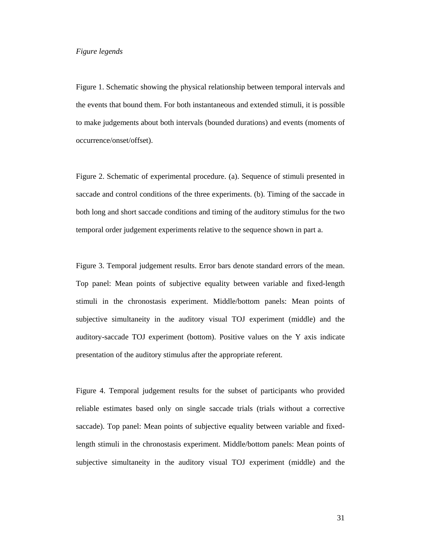### *Figure legends*

Figure 1. Schematic showing the physical relationship between temporal intervals and the events that bound them. For both instantaneous and extended stimuli, it is possible to make judgements about both intervals (bounded durations) and events (moments of occurrence/onset/offset).

Figure 2. Schematic of experimental procedure. (a). Sequence of stimuli presented in saccade and control conditions of the three experiments. (b). Timing of the saccade in both long and short saccade conditions and timing of the auditory stimulus for the two temporal order judgement experiments relative to the sequence shown in part a.

Figure 3. Temporal judgement results. Error bars denote standard errors of the mean. Top panel: Mean points of subjective equality between variable and fixed-length stimuli in the chronostasis experiment. Middle/bottom panels: Mean points of subjective simultaneity in the auditory visual TOJ experiment (middle) and the auditory-saccade TOJ experiment (bottom). Positive values on the Y axis indicate presentation of the auditory stimulus after the appropriate referent.

Figure 4. Temporal judgement results for the subset of participants who provided reliable estimates based only on single saccade trials (trials without a corrective saccade). Top panel: Mean points of subjective equality between variable and fixedlength stimuli in the chronostasis experiment. Middle/bottom panels: Mean points of subjective simultaneity in the auditory visual TOJ experiment (middle) and the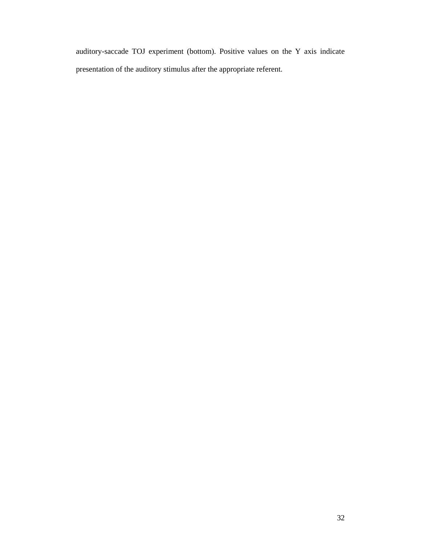auditory-saccade TOJ experiment (bottom). Positive values on the Y axis indicate presentation of the auditory stimulus after the appropriate referent.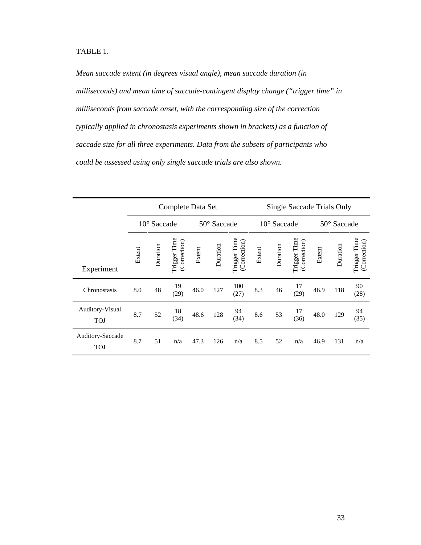TABLE 1.

*Mean saccade extent (in degrees visual angle), mean saccade duration (in milliseconds) and mean time of saccade-contingent display change ("trigger time" in milliseconds from saccade onset, with the corresponding size of the correction typically applied in chronostasis experiments shown in brackets) as a function of saccade size for all three experiments. Data from the subsets of participants who could be assessed using only single saccade trials are also shown.*

|                                | Complete Data Set    |          |                              |             |          |                              | Single Saccade Trials Only |          |                              |             |          |                              |
|--------------------------------|----------------------|----------|------------------------------|-------------|----------|------------------------------|----------------------------|----------|------------------------------|-------------|----------|------------------------------|
|                                | $10^{\circ}$ Saccade |          |                              | 50° Saccade |          |                              | $10^{\circ}$ Saccade       |          |                              | 50° Saccade |          |                              |
| Experiment                     | Extent               | Duration | Trigger Time<br>(Correction) | Extent      | Duration | Trigger Time<br>(Correction) | Extent                     | Duration | Trigger Time<br>(Correction) | Extent      | Duration | Trigger Time<br>(Correction) |
| Chronostasis                   | 8.0                  | 48       | 19<br>(29)                   | 46.0        | 127      | 100<br>(27)                  | 8.3                        | 46       | 17<br>(29)                   | 46.9        | 118      | 90<br>(28)                   |
| Auditory-Visual<br><b>TOJ</b>  | 8.7                  | 52       | 18<br>(34)                   | 48.6        | 128      | 94<br>(34)                   | 8.6                        | 53       | 17<br>(36)                   | 48.0        | 129      | 94<br>(35)                   |
| Auditory-Saccade<br><b>TOJ</b> | 8.7                  | 51       | n/a                          | 47.3        | 126      | n/a                          | 8.5                        | 52       | n/a                          | 46.9        | 131      | n/a                          |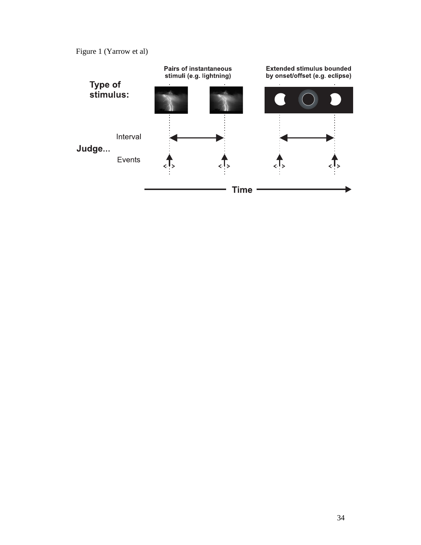Figure 1 (Yarrow et al)

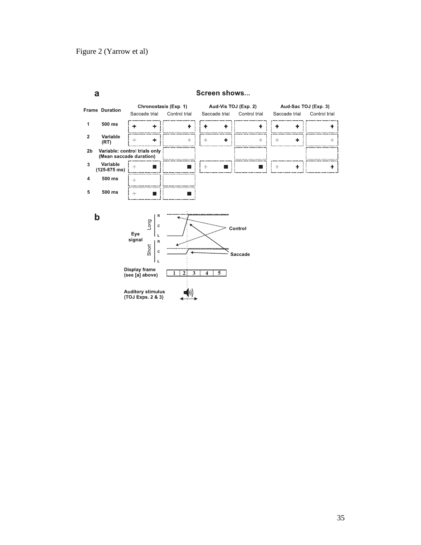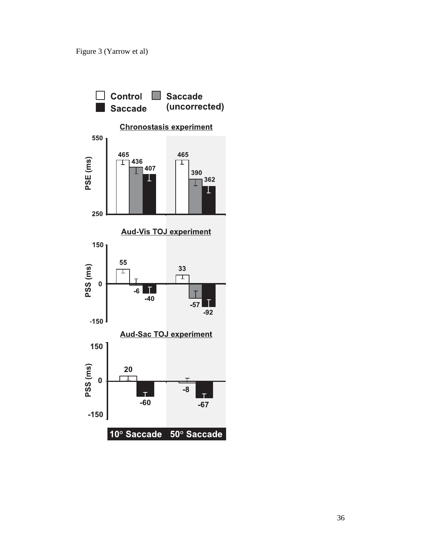